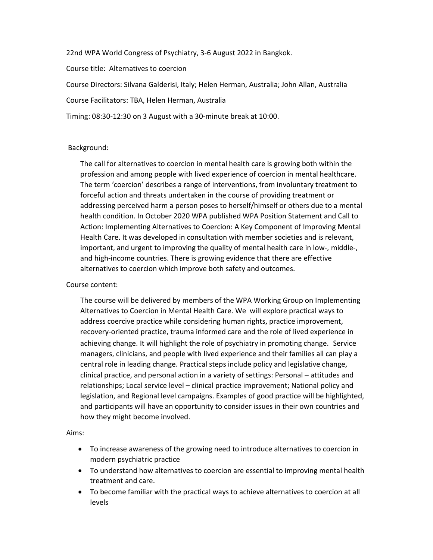22nd WPA World Congress of Psychiatry, 3-6 August 2022 in Bangkok.

Course title: Alternatives to coercion

Course Directors: Silvana Galderisi, Italy; Helen Herman, Australia; John Allan, Australia

Course Facilitators: TBA, Helen Herman, Australia

Timing: 08:30-12:30 on 3 August with a 30-minute break at 10:00.

### Background:

The call for alternatives to coercion in mental health care is growing both within the profession and among people with lived experience of coercion in mental healthcare. The term 'coercion' describes a range of interventions, from involuntary treatment to forceful action and threats undertaken in the course of providing treatment or addressing perceived harm a person poses to herself/himself or others due to a mental health condition. In October 2020 WPA published WPA Position Statement and Call to Action: Implementing Alternatives to Coercion: A Key Component of Improving Mental Health Care. It was developed in consultation with member societies and is relevant, important, and urgent to improving the quality of mental health care in low-, middle-, and high-income countries. There is growing evidence that there are effective alternatives to coercion which improve both safety and outcomes.

### Course content:

The course will be delivered by members of the WPA Working Group on Implementing Alternatives to Coercion in Mental Health Care. We will explore practical ways to address coercive practice while considering human rights, practice improvement, recovery-oriented practice, trauma informed care and the role of lived experience in achieving change. It will highlight the role of psychiatry in promoting change. Service managers, clinicians, and people with lived experience and their families all can play a central role in leading change. Practical steps include policy and legislative change, clinical practice, and personal action in a variety of settings: Personal – attitudes and relationships; Local service level – clinical practice improvement; National policy and legislation, and Regional level campaigns. Examples of good practice will be highlighted, and participants will have an opportunity to consider issues in their own countries and how they might become involved.

### Aims:

- To increase awareness of the growing need to introduce alternatives to coercion in modern psychiatric practice
- To understand how alternatives to coercion are essential to improving mental health treatment and care.
- To become familiar with the practical ways to achieve alternatives to coercion at all levels